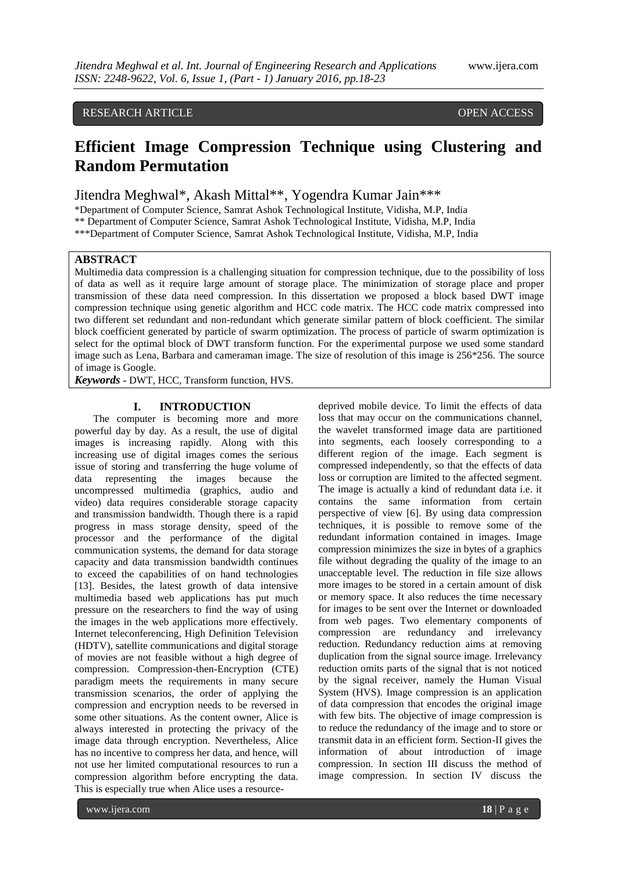## RESEARCH ARTICLE **CONSERVERS** OPEN ACCESS

# **Efficient Image Compression Technique using Clustering and Random Permutation**

Jitendra Meghwal\*, Akash Mittal\*\*, Yogendra Kumar Jain\*\*\*

\*Department of Computer Science, Samrat Ashok Technological Institute, Vidisha, M.P, India \*\* Department of Computer Science, Samrat Ashok Technological Institute, Vidisha, M.P, India

\*\*\*Department of Computer Science, Samrat Ashok Technological Institute, Vidisha, M.P, India

## **ABSTRACT**

Multimedia data compression is a challenging situation for compression technique, due to the possibility of loss of data as well as it require large amount of storage place. The minimization of storage place and proper transmission of these data need compression. In this dissertation we proposed a block based DWT image compression technique using genetic algorithm and HCC code matrix. The HCC code matrix compressed into two different set redundant and non-redundant which generate similar pattern of block coefficient. The similar block coefficient generated by particle of swarm optimization. The process of particle of swarm optimization is select for the optimal block of DWT transform function. For the experimental purpose we used some standard image such as Lena, Barbara and cameraman image. The size of resolution of this image is 256\*256. The source of image is Google.

*Keywords* **-** DWT, HCC, Transform function, HVS.

## **I. INTRODUCTION**

The computer is becoming more and more powerful day by day. As a result, the use of digital images is increasing rapidly. Along with this increasing use of digital images comes the serious issue of storing and transferring the huge volume of data representing the images because the uncompressed multimedia (graphics, audio and video) data requires considerable storage capacity and transmission bandwidth. Though there is a rapid progress in mass storage density, speed of the processor and the performance of the digital communication systems, the demand for data storage capacity and data transmission bandwidth continues to exceed the capabilities of on hand technologies [13]. Besides, the latest growth of data intensive multimedia based web applications has put much pressure on the researchers to find the way of using the images in the web applications more effectively. Internet teleconferencing, High Definition Television (HDTV), satellite communications and digital storage of movies are not feasible without a high degree of compression. Compression-then-Encryption (CTE) paradigm meets the requirements in many secure transmission scenarios, the order of applying the compression and encryption needs to be reversed in some other situations. As the content owner, Alice is always interested in protecting the privacy of the image data through encryption. Nevertheless, Alice has no incentive to compress her data, and hence, will not use her limited computational resources to run a compression algorithm before encrypting the data. This is especially true when Alice uses a resourceloss that may occur on the communications channel, the wavelet transformed image data are partitioned into segments, each loosely corresponding to a different region of the image. Each segment is compressed independently, so that the effects of data loss or corruption are limited to the affected segment. The image is actually a kind of redundant data i.e. it contains the same information from certain perspective of view [6]. By using data compression techniques, it is possible to remove some of the redundant information contained in images. Image compression minimizes the size in bytes of a graphics file without degrading the quality of the image to an unacceptable level. The reduction in file size allows more images to be stored in a certain amount of disk or memory space. It also reduces the time necessary for images to be sent over the Internet or downloaded from web pages. Two elementary components of compression are redundancy and irrelevancy reduction. Redundancy reduction aims at removing duplication from the signal source image. Irrelevancy reduction omits parts of the signal that is not noticed by the signal receiver, namely the Human Visual System (HVS). Image compression is an application of data compression that encodes the original image with few bits. The objective of image compression is to reduce the redundancy of the image and to store or transmit data in an efficient form. Section-II gives the information of about introduction of image compression. In section III discuss the method of image compression. In section IV discuss the

deprived mobile device. To limit the effects of data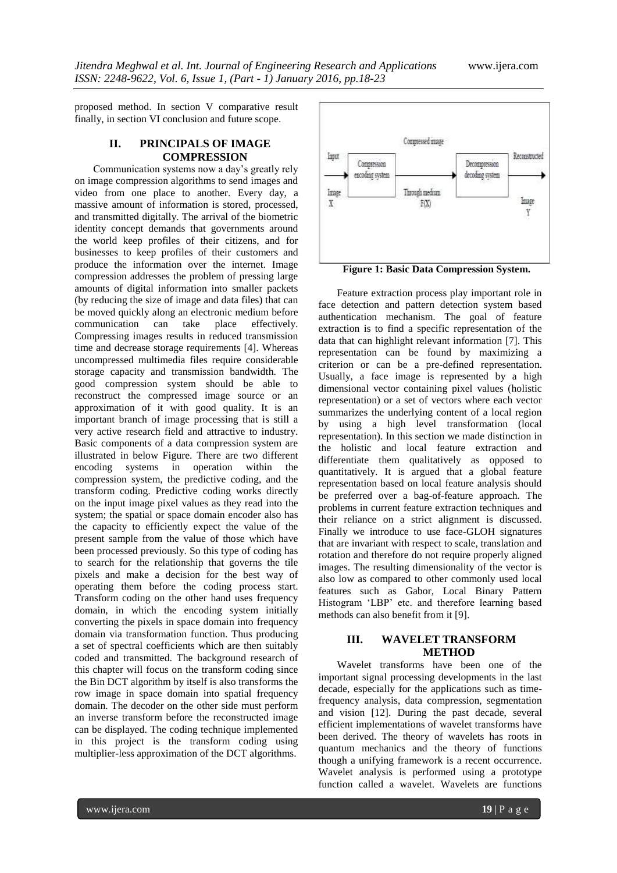proposed method. In section V comparative result finally, in section VI conclusion and future scope.

## **II. PRINCIPALS OF IMAGE COMPRESSION**

Communication systems now a day"s greatly rely on image compression algorithms to send images and video from one place to another. Every day, a massive amount of information is stored, processed, and transmitted digitally. The arrival of the biometric identity concept demands that governments around the world keep profiles of their citizens, and for businesses to keep profiles of their customers and produce the information over the internet. Image compression addresses the problem of pressing large amounts of digital information into smaller packets (by reducing the size of image and data files) that can be moved quickly along an electronic medium before<br>communication can take place effectively. communication can take place effectively. Compressing images results in reduced transmission time and decrease storage requirements [4]. Whereas uncompressed multimedia files require considerable storage capacity and transmission bandwidth. The good compression system should be able to reconstruct the compressed image source or an approximation of it with good quality. It is an important branch of image processing that is still a very active research field and attractive to industry. Basic components of a data compression system are illustrated in below Figure. There are two different encoding systems in operation within the compression system, the predictive coding, and the transform coding. Predictive coding works directly on the input image pixel values as they read into the system; the spatial or space domain encoder also has the capacity to efficiently expect the value of the present sample from the value of those which have been processed previously. So this type of coding has to search for the relationship that governs the tile pixels and make a decision for the best way of operating them before the coding process start. Transform coding on the other hand uses frequency domain, in which the encoding system initially converting the pixels in space domain into frequency domain via transformation function. Thus producing a set of spectral coefficients which are then suitably coded and transmitted. The background research of this chapter will focus on the transform coding since the Bin DCT algorithm by itself is also transforms the row image in space domain into spatial frequency domain. The decoder on the other side must perform an inverse transform before the reconstructed image can be displayed. The coding technique implemented in this project is the transform coding using multiplier-less approximation of the DCT algorithms.



**Figure 1: Basic Data Compression System.**

Feature extraction process play important role in face detection and pattern detection system based authentication mechanism. The goal of feature extraction is to find a specific representation of the data that can highlight relevant information [7]. This representation can be found by maximizing a criterion or can be a pre-defined representation. Usually, a face image is represented by a high dimensional vector containing pixel values (holistic representation) or a set of vectors where each vector summarizes the underlying content of a local region by using a high level transformation (local representation). In this section we made distinction in the holistic and local feature extraction and differentiate them qualitatively as opposed to quantitatively. It is argued that a global feature representation based on local feature analysis should be preferred over a bag-of-feature approach. The problems in current feature extraction techniques and their reliance on a strict alignment is discussed. Finally we introduce to use face-GLOH signatures that are invariant with respect to scale, translation and rotation and therefore do not require properly aligned images. The resulting dimensionality of the vector is also low as compared to other commonly used local features such as Gabor, Local Binary Pattern Histogram 'LBP' etc. and therefore learning based methods can also benefit from it [9].

## **III. WAVELET TRANSFORM METHOD**

Wavelet transforms have been one of the important signal processing developments in the last decade, especially for the applications such as timefrequency analysis, data compression, segmentation and vision [12]. During the past decade, several efficient implementations of wavelet transforms have been derived. The theory of wavelets has roots in quantum mechanics and the theory of functions though a unifying framework is a recent occurrence. Wavelet analysis is performed using a prototype function called a wavelet. Wavelets are functions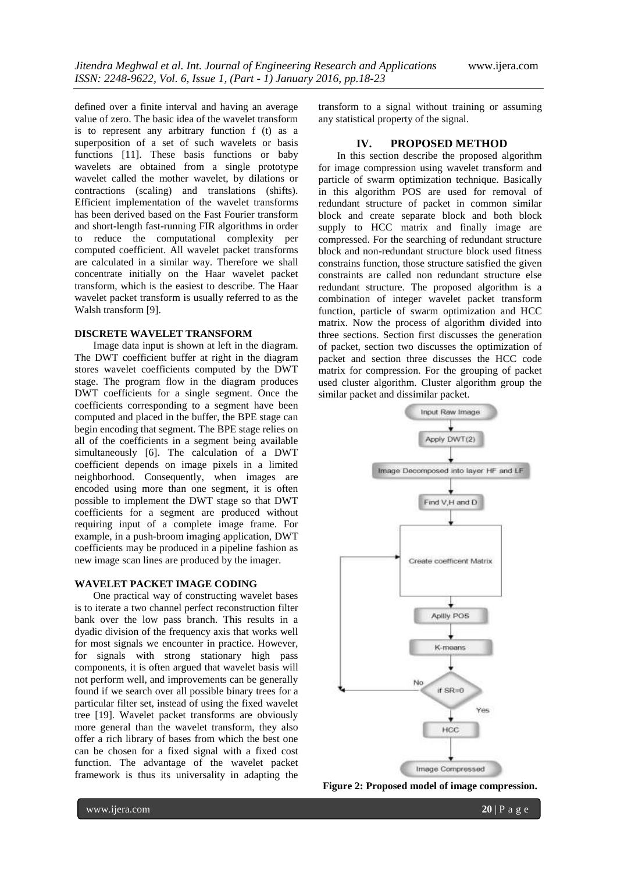defined over a finite interval and having an average value of zero. The basic idea of the wavelet transform is to represent any arbitrary function f (t) as a superposition of a set of such wavelets or basis functions [11]. These basis functions or baby wavelets are obtained from a single prototype wavelet called the mother wavelet, by dilations or contractions (scaling) and translations (shifts). Efficient implementation of the wavelet transforms has been derived based on the Fast Fourier transform and short-length fast-running FIR algorithms in order to reduce the computational complexity per computed coefficient. All wavelet packet transforms are calculated in a similar way. Therefore we shall concentrate initially on the Haar wavelet packet transform, which is the easiest to describe. The Haar wavelet packet transform is usually referred to as the Walsh transform [9].

## **DISCRETE WAVELET TRANSFORM**

Image data input is shown at left in the diagram. The DWT coefficient buffer at right in the diagram stores wavelet coefficients computed by the DWT stage. The program flow in the diagram produces DWT coefficients for a single segment. Once the coefficients corresponding to a segment have been computed and placed in the buffer, the BPE stage can begin encoding that segment. The BPE stage relies on all of the coefficients in a segment being available simultaneously [6]. The calculation of a DWT coefficient depends on image pixels in a limited neighborhood. Consequently, when images are encoded using more than one segment, it is often possible to implement the DWT stage so that DWT coefficients for a segment are produced without requiring input of a complete image frame. For example, in a push-broom imaging application, DWT coefficients may be produced in a pipeline fashion as new image scan lines are produced by the imager.

#### **WAVELET PACKET IMAGE CODING**

One practical way of constructing wavelet bases is to iterate a two channel perfect reconstruction filter bank over the low pass branch. This results in a dyadic division of the frequency axis that works well for most signals we encounter in practice. However, for signals with strong stationary high pass components, it is often argued that wavelet basis will not perform well, and improvements can be generally found if we search over all possible binary trees for a particular filter set, instead of using the fixed wavelet tree [19]. Wavelet packet transforms are obviously more general than the wavelet transform, they also offer a rich library of bases from which the best one can be chosen for a fixed signal with a fixed cost function. The advantage of the wavelet packet framework is thus its universality in adapting the

transform to a signal without training or assuming any statistical property of the signal.

## **IV. PROPOSED METHOD**

In this section describe the proposed algorithm for image compression using wavelet transform and particle of swarm optimization technique. Basically in this algorithm POS are used for removal of redundant structure of packet in common similar block and create separate block and both block supply to HCC matrix and finally image are compressed. For the searching of redundant structure block and non-redundant structure block used fitness constrains function, those structure satisfied the given constraints are called non redundant structure else redundant structure. The proposed algorithm is a combination of integer wavelet packet transform function, particle of swarm optimization and HCC matrix. Now the process of algorithm divided into three sections. Section first discusses the generation of packet, section two discusses the optimization of packet and section three discusses the HCC code matrix for compression. For the grouping of packet used cluster algorithm. Cluster algorithm group the similar packet and dissimilar packet.



**Figure 2: Proposed model of image compression.**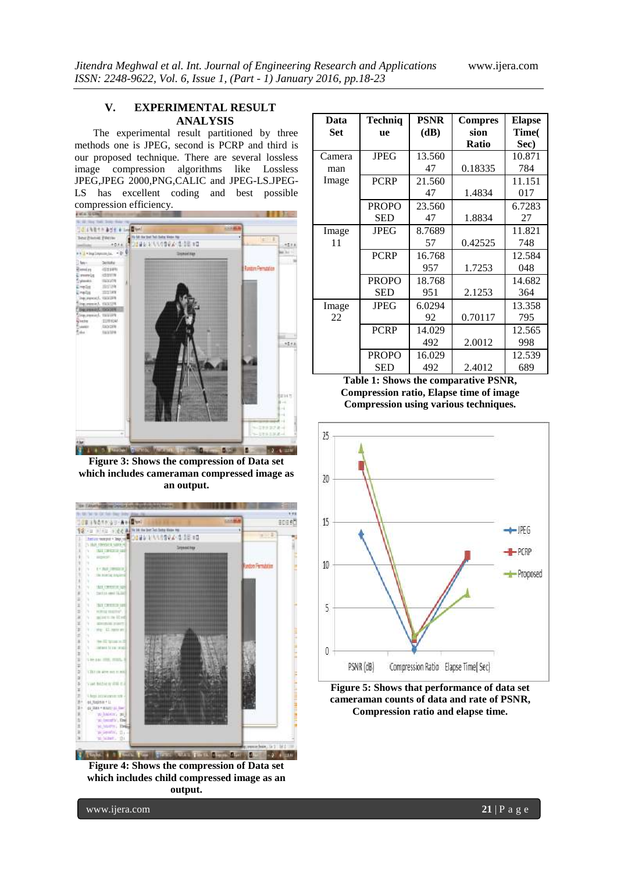## **V. EXPERIMENTAL RESULT ANALYSIS**

The experimental result partitioned by three methods one is JPEG, second is PCRP and third is our proposed technique. There are several lossless image compression algorithms like Lossless JPEG,JPEG 2000,PNG,CALIC and JPEG-LS.JPEG-LS has excellent coding and best possible



**Figure 3: Shows the compression of Data set which includes cameraman compressed image as an output.**



**Figure 4: Shows the compression of Data set which includes child compressed image as an output.**

| Data   | Techniq      | <b>PSNR</b> | <b>Compres</b> | <b>Elapse</b> |
|--------|--------------|-------------|----------------|---------------|
| Set    | <b>ne</b>    | (dB)        | sion           | Time(         |
|        |              |             | <b>Ratio</b>   | Sec)          |
| Camera | <b>JPEG</b>  | 13.560      |                | 10.871        |
| man    |              | 47          | 0.18335        | 784           |
| Image  | <b>PCRP</b>  | 21.560      |                | 11.151        |
|        |              | 47          | 1.4834         | 017           |
|        | <b>PROPO</b> | 23.560      |                | 6.7283        |
|        | <b>SED</b>   | 47          | 1.8834         | 27            |
| Image  | <b>JPEG</b>  | 8.7689      |                | 11.821        |
| 11     |              | 57          | 0.42525        | 748           |
|        | <b>PCRP</b>  | 16.768      |                | 12.584        |
|        |              | 957         | 1.7253         | 048           |
|        | <b>PROPO</b> | 18.768      |                | 14.682        |
|        | <b>SED</b>   | 951         | 2.1253         | 364           |
| Image  | JPEG         | 6.0294      |                | 13.358        |
| 22     |              | 92          | 0.70117        | 795           |
|        | <b>PCRP</b>  | 14.029      |                | 12.565        |
|        |              | 492         | 2.0012         | 998           |
|        | <b>PROPO</b> | 16.029      |                | 12.539        |
|        | <b>SED</b>   | 492         | 2.4012         | 689           |

**Table 1: Shows the comparative PSNR, Compression ratio, Elapse time of image Compression using various techniques.**



**Figure 5: Shows that performance of data set cameraman counts of data and rate of PSNR, Compression ratio and elapse time.**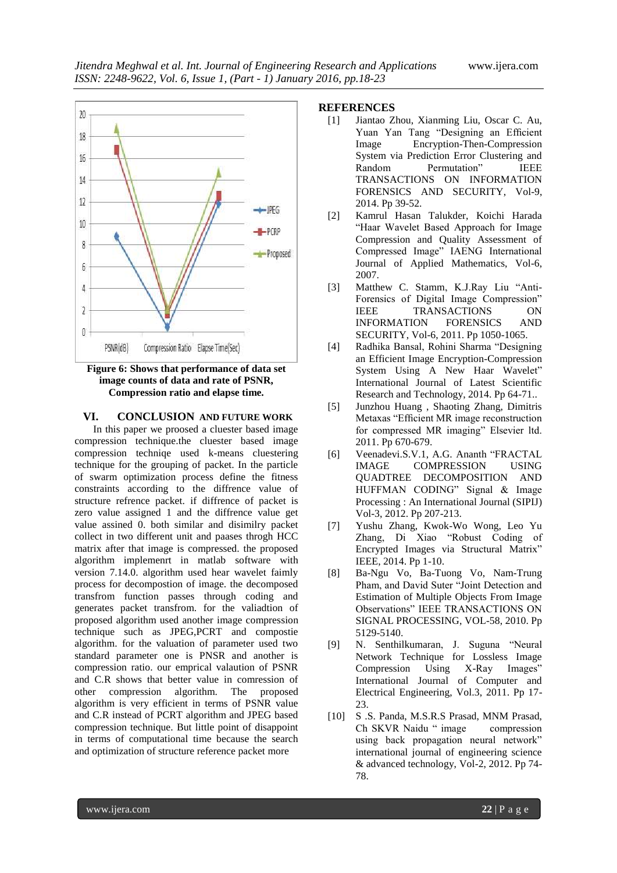

## **Figure 6: Shows that performance of data set image counts of data and rate of PSNR, Compression ratio and elapse time.**

## **VI. CONCLUSION AND FUTURE WORK**

In this paper we proosed a cluester based image compression technique.the cluester based image compression techniqe used k-means cluestering technique for the grouping of packet. In the particle of swarm optimization process define the fitness constraints according to the diffrence value of structure refrence packet. if diffrence of packet is zero value assigned 1 and the diffrence value get value assined 0. both similar and disimilry packet collect in two different unit and paases throgh HCC matrix after that image is compressed. the proposed algorithm implemenrt in matlab software with version 7.14.0. algorithm used hear wavelet faimly process for decompostion of image. the decomposed transfrom function passes through coding and generates packet transfrom. for the valiadtion of proposed algorithm used another image compression technique such as JPEG,PCRT and compostie algorithm. for the valuation of parameter used two standard parameter one is PNSR and another is compression ratio. our emprical valaution of PSNR and C.R shows that better value in comression of other compression algorithm. The proposed algorithm is very efficient in terms of PSNR value and C.R instead of PCRT algorithm and JPEG based compression technique. But little point of disappoint in terms of computational time because the search and optimization of structure reference packet more

## **REFERENCES**

- [1] Jiantao Zhou, Xianming Liu, Oscar C. Au, Yuan Yan Tang "Designing an Efficient Image Encryption-Then-Compression System via Prediction Error Clustering and Random Permutation" IEEE TRANSACTIONS ON INFORMATION FORENSICS AND SECURITY, Vol-9, 2014. Pp 39-52.
- [2] Kamrul Hasan Talukder, Koichi Harada "Haar Wavelet Based Approach for Image Compression and Quality Assessment of Compressed Image" IAENG International Journal of Applied Mathematics, Vol-6, 2007.
- [3] Matthew C. Stamm, K.J.Ray Liu "Anti-Forensics of Digital Image Compression" IEEE TRANSACTIONS ON INFORMATION FORENSICS AND SECURITY, Vol-6, 2011. Pp 1050-1065.
- [4] Radhika Bansal, Rohini Sharma "Designing an Efficient Image Encryption-Compression System Using A New Haar Wavelet" International Journal of Latest Scientific Research and Technology, 2014. Pp 64-71..
- [5] Junzhou Huang , Shaoting Zhang, Dimitris Metaxas "Efficient MR image reconstruction for compressed MR imaging" Elsevier ltd. 2011. Pp 670-679.
- [6] Veenadevi.S.V.1, A.G. Ananth "FRACTAL IMAGE COMPRESSION USING QUADTREE DECOMPOSITION AND HUFFMAN CODING" Signal & Image Processing : An International Journal (SIPIJ) Vol-3, 2012. Pp 207-213.
- [7] Yushu Zhang, Kwok-Wo Wong, Leo Yu Zhang, Di Xiao "Robust Coding of Encrypted Images via Structural Matrix" IEEE, 2014. Pp 1-10.
- [8] Ba-Ngu Vo, Ba-Tuong Vo, Nam-Trung Pham, and David Suter "Joint Detection and Estimation of Multiple Objects From Image Observations" IEEE TRANSACTIONS ON SIGNAL PROCESSING, VOL-58, 2010. Pp 5129-5140.
- [9] N. Senthilkumaran, J. Suguna "Neural Network Technique for Lossless Image Compression Using X-Ray Images" International Journal of Computer and Electrical Engineering, Vol.3, 2011. Pp 17- 23.
- [10] S .S. Panda, M.S.R.S Prasad, MNM Prasad, Ch SKVR Naidu " image compression using back propagation neural network" international journal of engineering science & advanced technology, Vol-2, 2012. Pp 74- 78.